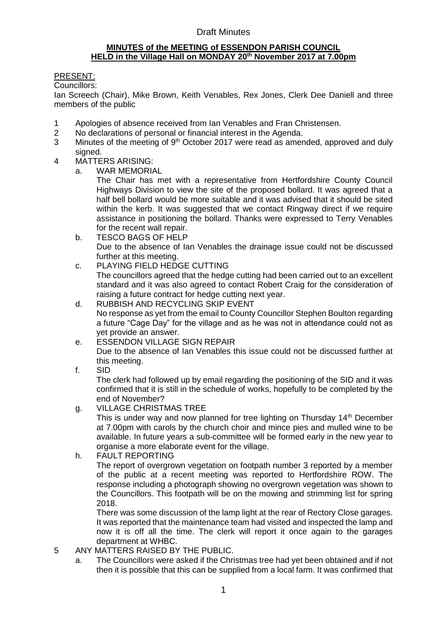# Draft Minutes

### **MINUTES of the MEETING of ESSENDON PARISH COUNCIL HELD in the Village Hall on MONDAY 20th November 2017 at 7.00pm**

# PRESENT:

Councillors:

Ian Screech (Chair), Mike Brown, Keith Venables, Rex Jones, Clerk Dee Daniell and three members of the public

- 1 Apologies of absence received from Ian Venables and Fran Christensen.
- 2 No declarations of personal or financial interest in the Agenda.
- 3 Minutes of the meeting of 9<sup>th</sup> October 2017 were read as amended, approved and duly signed.
- 4 MATTERS ARISING:
	- a. WAR MEMORIAL

The Chair has met with a representative from Hertfordshire County Council Highways Division to view the site of the proposed bollard. It was agreed that a half bell bollard would be more suitable and it was advised that it should be sited within the kerb. It was suggested that we contact Ringway direct if we require assistance in positioning the bollard. Thanks were expressed to Terry Venables for the recent wall repair.

- b. TESCO BAGS OF HELP Due to the absence of Ian Venables the drainage issue could not be discussed further at this meeting.
- c. PLAYING FIELD HEDGE CUTTING The councillors agreed that the hedge cutting had been carried out to an excellent standard and it was also agreed to contact Robert Craig for the consideration of raising a future contract for hedge cutting next year.
- d. RUBBISH AND RECYCLING SKIP EVENT No response as yet from the email to County Councillor Stephen Boulton regarding a future "Cage Day" for the village and as he was not in attendance could not as yet provide an answer.
- e. ESSENDON VILLAGE SIGN REPAIR Due to the absence of Ian Venables this issue could not be discussed further at this meeting.
- f. SID

The clerk had followed up by email regarding the positioning of the SID and it was confirmed that it is still in the schedule of works, hopefully to be completed by the end of November?

g. VILLAGE CHRISTMAS TREE

This is under way and now planned for tree lighting on Thursday 14<sup>th</sup> December at 7.00pm with carols by the church choir and mince pies and mulled wine to be available. In future years a sub-committee will be formed early in the new year to organise a more elaborate event for the village.

h. FAULT REPORTING

The report of overgrown vegetation on footpath number 3 reported by a member of the public at a recent meeting was reported to Hertfordshire ROW. The response including a photograph showing no overgrown vegetation was shown to the Councillors. This footpath will be on the mowing and strimming list for spring 2018.

There was some discussion of the lamp light at the rear of Rectory Close garages. It was reported that the maintenance team had visited and inspected the lamp and now it is off all the time. The clerk will report it once again to the garages department at WHBC.

- 5 ANY MATTERS RAISED BY THE PUBLIC.
	- a. The Councillors were asked if the Christmas tree had yet been obtained and if not then it is possible that this can be supplied from a local farm. It was confirmed that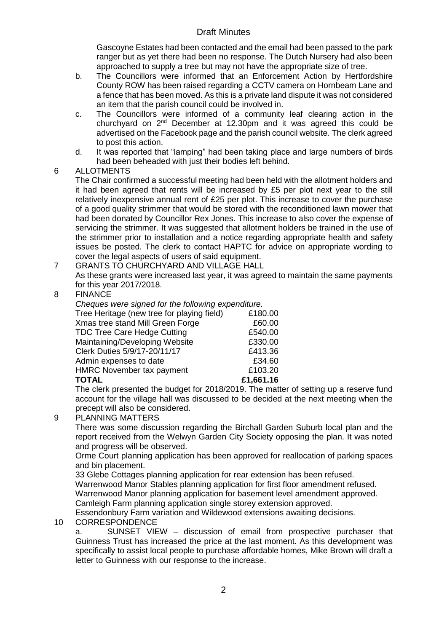# Draft Minutes

Gascoyne Estates had been contacted and the email had been passed to the park ranger but as yet there had been no response. The Dutch Nursery had also been approached to supply a tree but may not have the appropriate size of tree.

- b. The Councillors were informed that an Enforcement Action by Hertfordshire County ROW has been raised regarding a CCTV camera on Hornbeam Lane and a fence that has been moved. As this is a private land dispute it was not considered an item that the parish council could be involved in.
- c. The Councillors were informed of a community leaf clearing action in the churchyard on 2nd December at 12.30pm and it was agreed this could be advertised on the Facebook page and the parish council website. The clerk agreed to post this action.
- d. It was reported that "lamping" had been taking place and large numbers of birds had been beheaded with just their bodies left behind.

### 6 ALLOTMENTS

The Chair confirmed a successful meeting had been held with the allotment holders and it had been agreed that rents will be increased by £5 per plot next year to the still relatively inexpensive annual rent of £25 per plot. This increase to cover the purchase of a good quality strimmer that would be stored with the reconditioned lawn mower that had been donated by Councillor Rex Jones. This increase to also cover the expense of servicing the strimmer. It was suggested that allotment holders be trained in the use of the strimmer prior to installation and a notice regarding appropriate health and safety issues be posted. The clerk to contact HAPTC for advice on appropriate wording to cover the legal aspects of users of said equipment.

7 GRANTS TO CHURCHYARD AND VILLAGE HALL As these grants were increased last year, it was agreed to maintain the same payments for this year 2017/2018.

# 8 FINANCE

*Cheques were signed for the following expenditure.* 

| <b>TOTAL</b>                               | £1,661.16 |
|--------------------------------------------|-----------|
| <b>HMRC November tax payment</b>           | £103.20   |
| Admin expenses to date                     | £34.60    |
| Clerk Duties 5/9/17-20/11/17               | £413.36   |
| Maintaining/Developing Website             | £330.00   |
| <b>TDC Tree Care Hedge Cutting</b>         | £540.00   |
| Xmas tree stand Mill Green Forge           | £60.00    |
| Tree Heritage (new tree for playing field) | £180.00   |
|                                            |           |

The clerk presented the budget for 2018/2019. The matter of setting up a reserve fund account for the village hall was discussed to be decided at the next meeting when the precept will also be considered.

#### 9 PLANNING MATTERS

There was some discussion regarding the Birchall Garden Suburb local plan and the report received from the Welwyn Garden City Society opposing the plan. It was noted and progress will be observed.

Orme Court planning application has been approved for reallocation of parking spaces and bin placement.

33 Glebe Cottages planning application for rear extension has been refused.

Warrenwood Manor Stables planning application for first floor amendment refused. Warrenwood Manor planning application for basement level amendment approved. Camleigh Farm planning application single storey extension approved.

Essendonbury Farm variation and Wildewood extensions awaiting decisions.

#### 10 CORRESPONDENCE

a. SUNSET VIEW – discussion of email from prospective purchaser that Guinness Trust has increased the price at the last moment. As this development was specifically to assist local people to purchase affordable homes, Mike Brown will draft a letter to Guinness with our response to the increase.